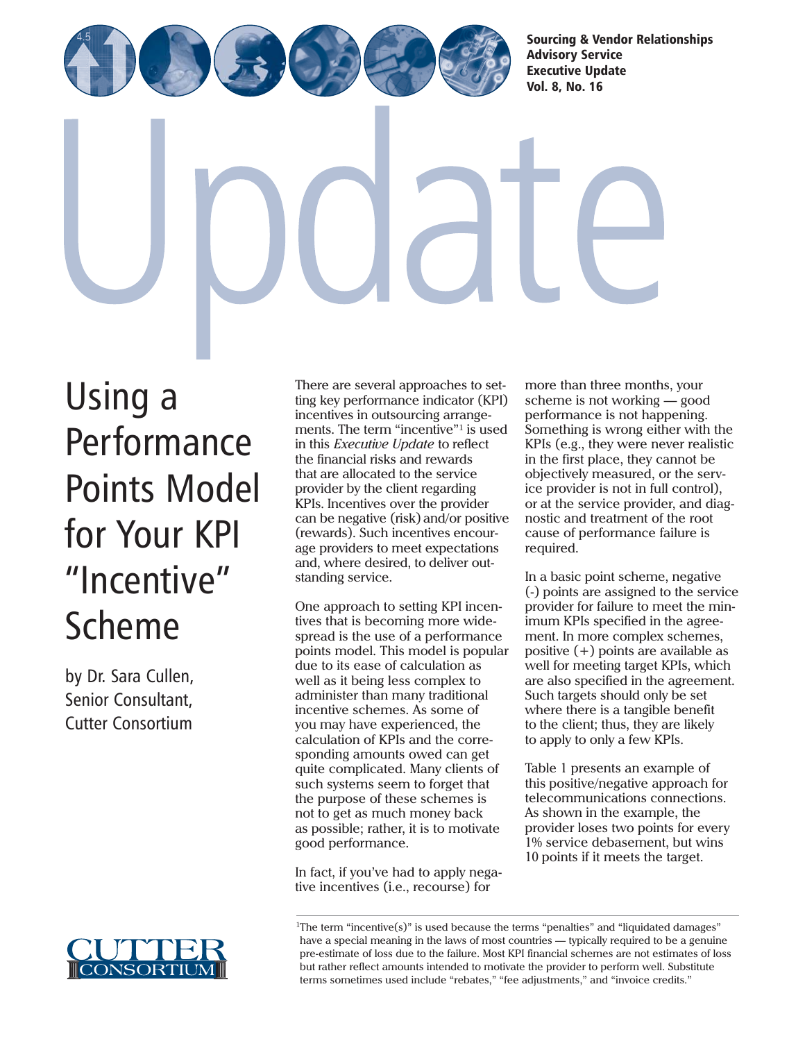[Sourcing & Vendor Relationships](http://www.cutter.com) Advisory Service Executive Update Vol. 8, No. 16

Using a Performance [Points Model](http://www.cutter.com) for Your KPI "Incentive" Scheme

by Dr. Sara Cullen, Senior Consultant, Cutter Consortium



There are several approaches to setting key performance indicator (KPI) incentives in outsourcing arrangements. The term "incentive"<sup>1</sup> is used in this *Executive Update* to reflect the financial risks and rewards that are allocated to the service provider by the client regarding KPIs. Incentives over the provider can be negative (risk) and/or positive (rewards). Such incentives encourage providers to meet expectations and, where desired, to deliver outstanding service.

One approach to setting KPI incentives that is becoming more widespread is the use of a performance points model. This model is popular due to its ease of calculation as well as it being less complex to administer than many traditional incentive schemes. As some of you may have experienced, the calculation of KPIs and the corresponding amounts owed can get quite complicated. Many clients of such systems seem to forget that the purpose of these schemes is not to get as much money back as possible; rather, it is to motivate good performance.

In fact, if you've had to apply negative incentives (i.e., recourse) for

more than three months, your scheme is not working — good performance is not happening. Something is wrong either with the KPIs (e.g., they were never realistic in the first place, they cannot be objectively measured, or the service provider is not in full control), or at the service provider, and diagnostic and treatment of the root cause of performance failure is required.

In a basic point scheme, negative (-) points are assigned to the service provider for failure to meet the minimum KPIs specified in the agreement. In more complex schemes, positive (+) points are available as well for meeting target KPIs, which are also specified in the agreement. Such targets should only be set where there is a tangible benefit to the client; thus, they are likely to apply to only a few KPIs.

Table 1 presents an example of this positive/negative approach for telecommunications connections. As shown in the example, the provider loses two points for every 1% service debasement, but wins 10 points if it meets the target.

<sup>1</sup>The term "incentive(s)" is used because the terms "penalties" and "liquidated damages" have a special meaning in the laws of most countries — typically required to be a genuine pre-estimate of loss due to the failure. Most KPI financial schemes are not estimates of loss but rather reflect amounts intended to motivate the provider to perform well. Substitute terms sometimes used include "rebates," "fee adjustments," and "invoice credits."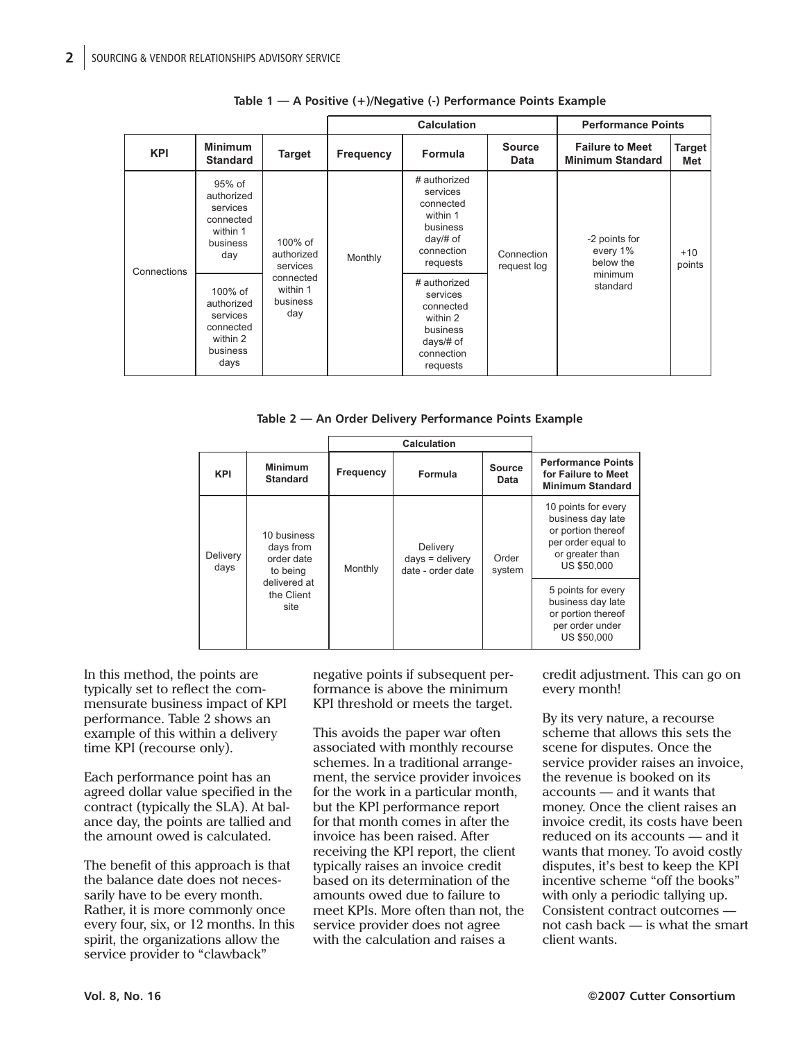|             |                                                                                |                                                                                  | <b>Calculation</b> |                                                                                                       |                           | <b>Performance Points</b>                                     |                      |
|-------------|--------------------------------------------------------------------------------|----------------------------------------------------------------------------------|--------------------|-------------------------------------------------------------------------------------------------------|---------------------------|---------------------------------------------------------------|----------------------|
| <b>KPI</b>  | <b>Minimum</b><br><b>Standard</b>                                              | Target                                                                           | <b>Frequency</b>   | Formula                                                                                               | <b>Source</b><br>Data     | <b>Failure to Meet</b><br><b>Minimum Standard</b>             | <b>Target</b><br>Met |
| Connections | 95% of<br>authorized<br>services<br>connected<br>within 1<br>business<br>day   | $100\%$ of<br>authorized<br>services<br>connected<br>within 1<br>business<br>day | Monthly            | # authorized<br>services<br>connected<br>within 1<br>business<br>$day/H$ of<br>connection<br>requests | Connection<br>request log | -2 points for<br>every 1%<br>below the<br>minimum<br>standard | $+10$<br>points      |
|             | 100% of<br>authorized<br>services<br>connected<br>within 2<br>business<br>days |                                                                                  |                    | # authorized<br>services<br>connected<br>within 2<br>business<br>days/# of<br>connection<br>requests  |                           |                                                               |                      |

**Table 1 — A Positive (+)/Negative (-) Performance Points Example**

**Table 2 — An Order Delivery Performance Points Example**

|                  |                                                                                          |           | <b>Calculation</b>                                 |                       |                                                                                                                               |
|------------------|------------------------------------------------------------------------------------------|-----------|----------------------------------------------------|-----------------------|-------------------------------------------------------------------------------------------------------------------------------|
| <b>KPI</b>       | <b>Minimum</b><br><b>Standard</b>                                                        | Frequency | Formula                                            | <b>Source</b><br>Data | <b>Performance Points</b><br>for Failure to Meet<br><b>Minimum Standard</b>                                                   |
| Delivery<br>days | 10 business<br>days from<br>order date<br>to being<br>delivered at<br>the Client<br>site | Monthly   | Delivery<br>$days =$ delivery<br>date - order date | Order<br>system       | 10 points for every<br>business day late<br>or portion thereof<br>per order equal to<br>or greater than<br><b>US \$50,000</b> |
|                  |                                                                                          |           |                                                    |                       | 5 points for every<br>business day late<br>or portion thereof<br>per order under<br>US \$50,000                               |

In this method, the points are typically set to reflect the commensurate business impact of KPI performance. Table 2 shows an example of this within a delivery time KPI (recourse only).

Each performance point has an agreed dollar value specified in the contract (typically the SLA). At balance day, the points are tallied and the amount owed is calculated.

The benefit of this approach is that the balance date does not necessarily have to be every month. Rather, it is more commonly once every four, six, or 12 months. In this spirit, the organizations allow the service provider to "clawback"

negative points if subsequent performance is above the minimum KPI threshold or meets the target.

This avoids the paper war often associated with monthly recourse schemes. In a traditional arrangement, the service provider invoices for the work in a particular month, but the KPI performance report for that month comes in after the invoice has been raised. After receiving the KPI report, the client typically raises an invoice credit based on its determination of the amounts owed due to failure to meet KPIs. More often than not, the service provider does not agree with the calculation and raises a

credit adjustment. This can go on every month!

By its very nature, a recourse scheme that allows this sets the scene for disputes. Once the service provider raises an invoice, the revenue is booked on its accounts — and it wants that money. Once the client raises an invoice credit, its costs have been reduced on its accounts — and it wants that money. To avoid costly disputes, it's best to keep the KPI incentive scheme "off the books" with only a periodic tallying up. Consistent contract outcomes not cash back — is what the smart client wants.